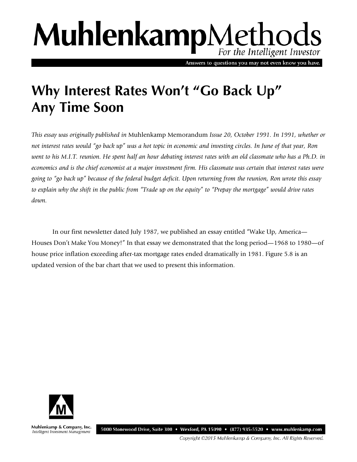# MuhlenkampMethods For the Intelligent Investor

Answers to questions you may not even know you have.

# **Why Interest Rates Won't "Go Back Up" Any Time Soon**

*This essay was originally published in* Muhlenkamp Memorandum *Issue 20, October 1991. In 1991, whether or not interest rates would "go back up" was a hot topic in economic and investing circles. In June of that year, Ron went to his M.I.T. reunion. He spent half an hour debating interest rates with an old classmate who has a Ph.D. in economics and is the chief economist at a major investment firm. His classmate was certain that interest rates were going to "go back up" because of the federal budget deficit. Upon returning from the reunion, Ron wrote this essay to explain why the shift in the public from "Trade up on the equity" to "Prepay the mortgage" would drive rates down.* 

In our first newsletter dated July 1987, we published an essay entitled "Wake Up, America— Houses Don't Make You Money!" In that essay we demonstrated that the long period—1968 to 1980—of house price inflation exceeding after-tax mortgage rates ended dramatically in 1981. Figure 5.8 is an updated version of the bar chart that we used to present this information.



Muhlenkamp & Company, Inc. Intelligent Investment Management

5000 Stonewood Drive, Suite 300 • Wexford, PA 15090 • (877) 935-5520 • www.muhlenkamp.com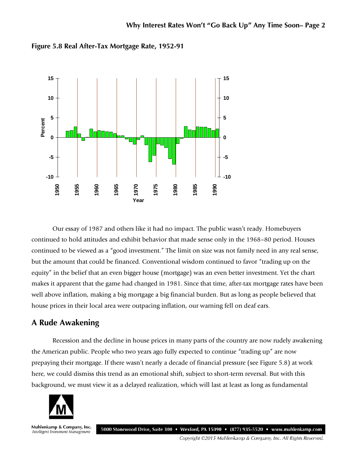

**Figure 5.8 Real After-Tax Mortgage Rate, 1952-91**

Our essay of 1987 and others like it had no impact. The public wasn't ready. Homebuyers continued to hold attitudes and exhibit behavior that made sense only in the 1968–80 period. Houses continued to be viewed as a "good investment." The limit on size was not family need in any real sense, but the amount that could be financed. Conventional wisdom continued to favor "trading up on the equity" in the belief that an even bigger house (mortgage) was an even better investment. Yet the chart makes it apparent that the game had changed in 1981. Since that time, after-tax mortgage rates have been well above inflation, making a big mortgage a big financial burden. But as long as people believed that house prices in their local area were outpacing inflation, our warning fell on deaf ears.

# **A Rude Awakening**

Recession and the decline in house prices in many parts of the country are now rudely awakening the American public. People who two years ago fully expected to continue "trading up" are now prepaying their mortgage. If there wasn't nearly a decade of financial pressure (see Figure 5.8) at work here, we could dismiss this trend as an emotional shift, subject to short-term reversal. But with this background, we must view it as a delayed realization, which will last at least as long as fundamental



Muhlenkamp & Company, Inc. 5000 Stonewood Drive, Suite 300 • Wexford, PA 15090 • (877) 935-5520 • www.muhlenkamp.com Intelligent Investment Management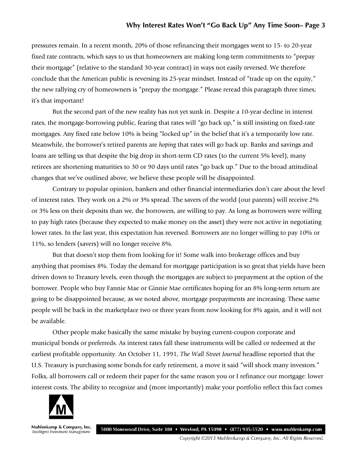#### **Why Interest Rates Won't "Go Back Up" Any Time Soon– Page 3**

pressures remain. In a recent month, 20% of those refinancing their mortgages went to 15- to 20-year fixed rate contracts, which says to us that homeowners are making long-term commitments to "prepay their mortgage" (relative to the standard 30-year contract) in ways not easily reversed. We therefore conclude that the American public is reversing its 25-year mindset. Instead of "trade up on the equity," the new rallying cry of homeowners is "prepay the mortgage." Please reread this paragraph three times; it's that important!

But the second part of the new reality has not yet sunk in. Despite a 10-year decline in interest rates, the mortgage-borrowing public, fearing that rates will "go back up," is still insisting on fixed-rate mortgages. Any fixed rate below 10% is being "locked up" in the belief that it's a temporarily low rate. Meanwhile, the borrower's retired parents are *hoping* that rates will go back up. Banks and savings and loans are telling us that despite the big drop in short-term CD rates (to the current 5% level), many retirees are shortening maturities to 30 or 90 days until rates "go back up." Due to the broad attitudinal changes that we've outlined above, we believe these people will be disappointed.

Contrary to popular opinion, bankers and other financial intermediaries don't care about the level of interest rates. They work on a 2% or 3% spread. The savers of the world (our parents) will receive 2% or 3% less on their deposits than we, the borrowers, are willing to pay. As long as borrowers were willing to pay high rates (because they expected to make money on the asset) they were not active in negotiating lower rates. In the last year, this expectation has reversed. Borrowers are no longer willing to pay 10% or 11%, so lenders (savers) will no longer receive 8%.

But that doesn't stop them from looking for it! Some walk into brokerage offices and buy anything that promises 8%. Today the demand for mortgage participation is so great that yields have been driven down to Treasury levels, even though the mortgages are subject to prepayment at the option of the borrower. People who buy Fannie Mae or Ginnie Mae certificates hoping for an 8% long-term return are going to be disappointed because, as we noted above, mortgage prepayments are increasing. These same people will be back in the marketplace two or three years from now looking for 8% again, and it will not be available.

Other people make basically the same mistake by buying current-coupon corporate and municipal bonds or preferreds. As interest rates fall these instruments will be called or redeemed at the earliest profitable opportunity. An October 11, 1991, *The Wall Street Journal* headline reported that the U.S. Treasury is purchasing some bonds for early retirement, a move it said "will shock many investors." Folks, all borrowers call or redeem their paper for the same reason you or I refinance our mortgage: lower interest costs. The ability to recognize and (more importantly) make your portfolio reflect this fact comes



Muhlenkamp & Company, Inc. 5000 Stonewood Drive, Suite 300 • Wexford, PA 15090 • (877) 935-5520 • www.muhlenkamp.com Intelligent Investment Management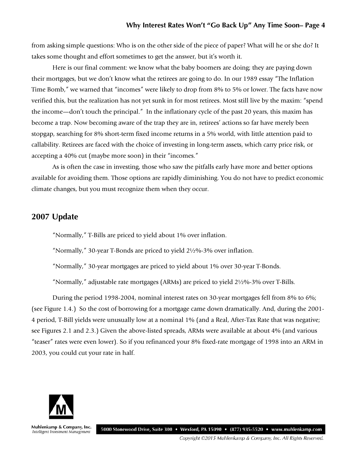from asking simple questions: Who is on the other side of the piece of paper? What will he or she do? It takes some thought and effort sometimes to get the answer, but it's worth it.

Here is our final comment: we know what the baby boomers are doing; they are paying down their mortgages, but we don't know what the retirees are going to do. In our 1989 essay "The Inflation Time Bomb," we warned that "incomes" were likely to drop from 8% to 5% or lower. The facts have now verified this, but the realization has not yet sunk in for most retirees. Most still live by the maxim: "spend the income—don't touch the principal." In the inflationary cycle of the past 20 years, this maxim has become a trap. Now becoming aware of the trap they are in, retirees' actions so far have merely been stopgap, searching for 8% short-term fixed income returns in a 5% world, with little attention paid to callability. Retirees are faced with the choice of investing in long-term assets, which carry price risk, or accepting a 40% cut (maybe more soon) in their "incomes."

As is often the case in investing, those who saw the pitfalls early have more and better options available for avoiding them. Those options are rapidly diminishing. You do not have to predict economic climate changes, but you must recognize them when they occur.

## **2007 Update**

"Normally," T-Bills are priced to yield about 1% over inflation.

"Normally," 30-year T-Bonds are priced to yield 2½%-3% over inflation.

"Normally," 30-year mortgages are priced to yield about 1% over 30-year T-Bonds.

"Normally," adjustable rate mortgages (ARMs) are priced to yield 2½%-3% over T-Bills.

During the period 1998-2004, nominal interest rates on 30-year mortgages fell from 8% to 6%; (see Figure 1.4.) So the cost of borrowing for a mortgage came down dramatically. And, during the 2001- 4 period, T-Bill yields were unusually low at a nominal 1% (and a Real, After-Tax Rate that was negative; see Figures 2.1 and 2.3.) Given the above-listed spreads, ARMs were available at about 4% (and various "teaser" rates were even lower). So if you refinanced your 8% fixed-rate mortgage of 1998 into an ARM in 2003, you could cut your rate in half.



Muhlenkamp & Company, Inc. 5000 Stonewood Drive, Suite 300 • Wexford, PA 15090 • (877) 935-5520 • www.muhlenkamp.com Intelligent Investment Management